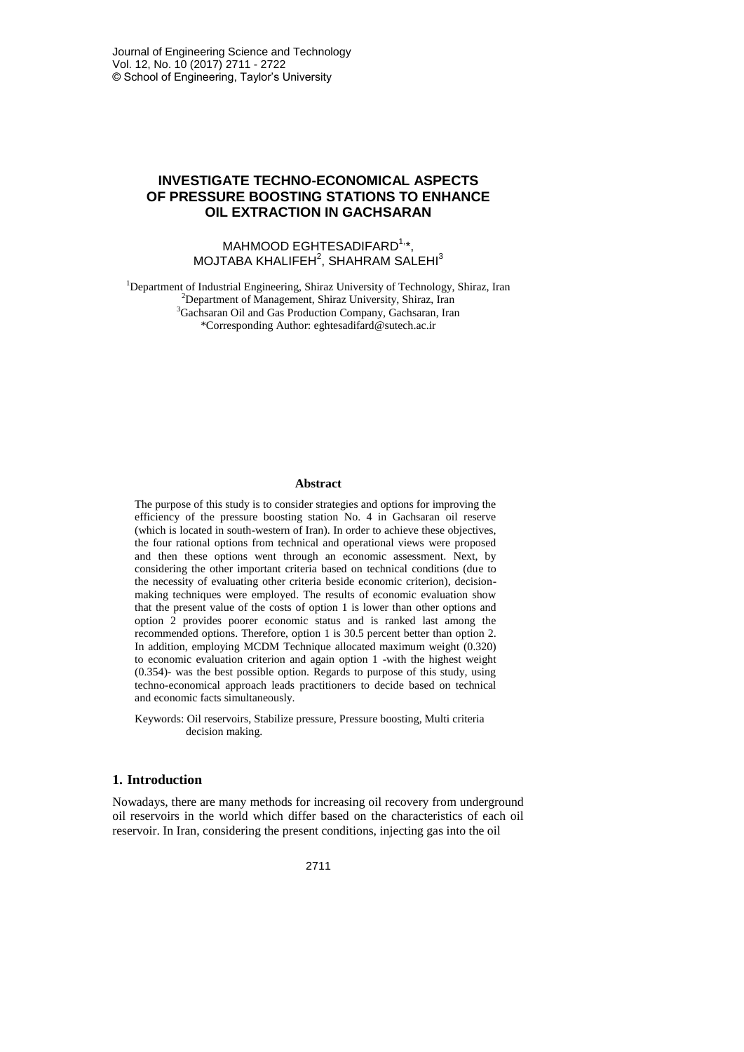# **INVESTIGATE TECHNO-ECONOMICAL ASPECTS OF PRESSURE BOOSTING STATIONS TO ENHANCE OIL EXTRACTION IN GACHSARAN**

## MAHMOOD EGHTESADIFARD<sup>1,\*</sup>, MOJTABA KHALIFEH $^2$ , SHAHRAM SALEHI $^3$

<sup>1</sup>Department of Industrial Engineering, Shiraz University of Technology, Shiraz, Iran <sup>2</sup>Department of Management, Shiraz University, Shiraz, Iran <sup>3</sup>Gachsaran Oil and Gas Production Company, Gachsaran, Iran \*Corresponding Author: eghtesadifard@sutech.ac.ir

#### **Abstract**

The purpose of this study is to consider strategies and options for improving the efficiency of the pressure boosting station No. 4 in Gachsaran oil reserve (which is located in south-western of Iran). In order to achieve these objectives, the four rational options from technical and operational views were proposed and then these options went through an economic assessment. Next, by considering the other important criteria based on technical conditions (due to the necessity of evaluating other criteria beside economic criterion), decisionmaking techniques were employed. The results of economic evaluation show that the present value of the costs of option 1 is lower than other options and option 2 provides poorer economic status and is ranked last among the recommended options. Therefore, option 1 is 30.5 percent better than option 2. In addition, employing MCDM Technique allocated maximum weight (0.320) to economic evaluation criterion and again option 1 -with the highest weight (0.354)- was the best possible option. Regards to purpose of this study, using techno-economical approach leads practitioners to decide based on technical and economic facts simultaneously.

Keywords: Oil reservoirs, Stabilize pressure, Pressure boosting, Multi criteria decision making.

### **1. Introduction**

Nowadays, there are many methods for increasing oil recovery from underground oil reservoirs in the world which differ based on the characteristics of each oil reservoir. In Iran, considering the present conditions, injecting gas into the oil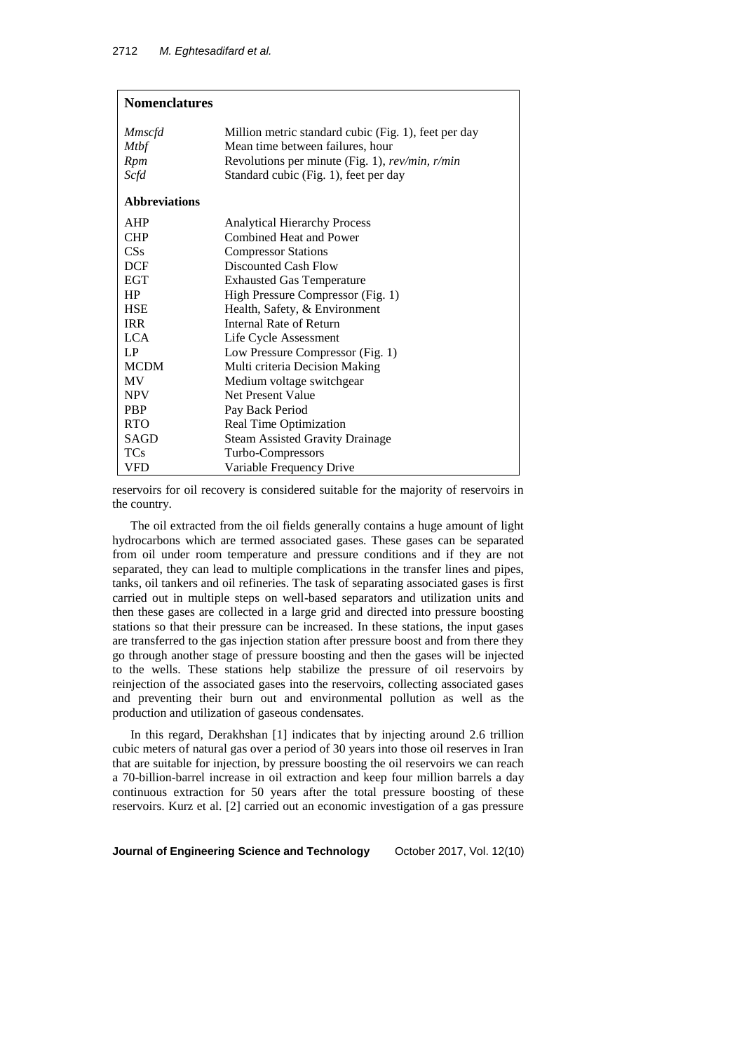| <b>Nomenclatures</b>                |                                                                                                                                                  |  |  |
|-------------------------------------|--------------------------------------------------------------------------------------------------------------------------------------------------|--|--|
| <i>Mmscfd</i><br><b>Mtbf</b><br>Rpm | Million metric standard cubic (Fig. 1), feet per day<br>Mean time between failures, hour<br>Revolutions per minute (Fig. 1), $rev/min$ , $r/min$ |  |  |
| Scfd                                | Standard cubic (Fig. 1), feet per day                                                                                                            |  |  |
| <b>Abbreviations</b>                |                                                                                                                                                  |  |  |
| AHP                                 | <b>Analytical Hierarchy Process</b>                                                                                                              |  |  |
| <b>CHP</b>                          | Combined Heat and Power                                                                                                                          |  |  |
| CS <sub>s</sub>                     | <b>Compressor Stations</b>                                                                                                                       |  |  |
| <b>DCF</b>                          | Discounted Cash Flow                                                                                                                             |  |  |
| EGT                                 | <b>Exhausted Gas Temperature</b>                                                                                                                 |  |  |
| HP                                  | High Pressure Compressor (Fig. 1)                                                                                                                |  |  |
| <b>HSE</b>                          | Health, Safety, & Environment                                                                                                                    |  |  |
| <b>IRR</b>                          | Internal Rate of Return                                                                                                                          |  |  |
| LCA.                                | Life Cycle Assessment                                                                                                                            |  |  |
| LP                                  | Low Pressure Compressor (Fig. 1)                                                                                                                 |  |  |
| <b>MCDM</b>                         | Multi criteria Decision Making                                                                                                                   |  |  |
| <b>MV</b>                           | Medium voltage switchgear                                                                                                                        |  |  |
| <b>NPV</b>                          | Net Present Value                                                                                                                                |  |  |
| <b>PBP</b>                          | Pay Back Period                                                                                                                                  |  |  |
| <b>RTO</b>                          | Real Time Optimization                                                                                                                           |  |  |
| SAGD                                | <b>Steam Assisted Gravity Drainage</b>                                                                                                           |  |  |
| TCs                                 | Turbo-Compressors                                                                                                                                |  |  |
| VFD                                 | Variable Frequency Drive                                                                                                                         |  |  |

reservoirs for oil recovery is considered suitable for the majority of reservoirs in the country.

The oil extracted from the oil fields generally contains a huge amount of light hydrocarbons which are termed associated gases. These gases can be separated from oil under room temperature and pressure conditions and if they are not separated, they can lead to multiple complications in the transfer lines and pipes, tanks, oil tankers and oil refineries. The task of separating associated gases is first carried out in multiple steps on well-based separators and utilization units and then these gases are collected in a large grid and directed into pressure boosting stations so that their pressure can be increased. In these stations, the input gases are transferred to the gas injection station after pressure boost and from there they go through another stage of pressure boosting and then the gases will be injected to the wells. These stations help stabilize the pressure of oil reservoirs by reinjection of the associated gases into the reservoirs, collecting associated gases and preventing their burn out and environmental pollution as well as the production and utilization of gaseous condensates.

In this regard, Derakhshan [1] indicates that by injecting around 2.6 trillion cubic meters of natural gas over a period of 30 years into those oil reserves in Iran that are suitable for injection, by pressure boosting the oil reservoirs we can reach a 70-billion-barrel increase in oil extraction and keep four million barrels a day continuous extraction for 50 years after the total pressure boosting of these reservoirs. Kurz et al. [2] carried out an economic investigation of a gas pressure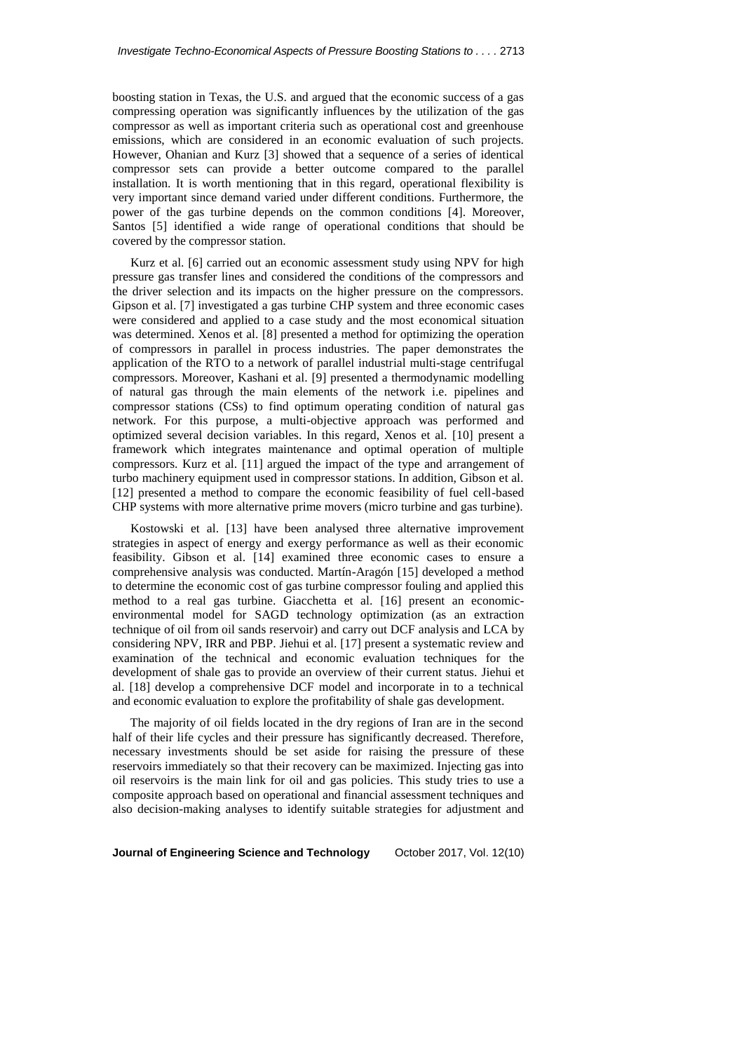boosting station in Texas, the U.S. and argued that the economic success of a gas compressing operation was significantly influences by the utilization of the gas compressor as well as important criteria such as operational cost and greenhouse emissions, which are considered in an economic evaluation of such projects. However, Ohanian and Kurz [3] showed that a sequence of a series of identical compressor sets can provide a better outcome compared to the parallel installation. It is worth mentioning that in this regard, operational flexibility is very important since demand varied under different conditions. Furthermore, the power of the gas turbine depends on the common conditions [4]. Moreover, Santos [5] identified a wide range of operational conditions that should be covered by the compressor station.

Kurz et al. [6] carried out an economic assessment study using NPV for high pressure gas transfer lines and considered the conditions of the compressors and the driver selection and its impacts on the higher pressure on the compressors. Gipson et al. [7] investigated a gas turbine CHP system and three economic cases were considered and applied to a case study and the most economical situation was determined. Xenos et al. [8] presented a method for optimizing the operation of compressors in parallel in process industries. The paper demonstrates the application of the RTO to a network of parallel industrial multi-stage centrifugal compressors. Moreover, Kashani et al. [9] presented a thermodynamic modelling of natural gas through the main elements of the network i.e. pipelines and compressor stations (CSs) to find optimum operating condition of natural gas network. For this purpose, a multi-objective approach was performed and optimized several decision variables. In this regard, Xenos et al. [10] present a framework which integrates maintenance and optimal operation of multiple compressors. Kurz et al. [11] argued the impact of the type and arrangement of turbo machinery equipment used in compressor stations. In addition, Gibson et al. [12] presented a method to compare the economic feasibility of fuel cell-based CHP systems with more alternative prime movers (micro turbine and gas turbine).

Kostowski et al. [13] have been analysed three alternative improvement strategies in aspect of energy and exergy performance as well as their economic feasibility. Gibson et al. [14] examined three economic cases to ensure a comprehensive analysis was conducted. Martín-Aragón [15] developed a method to determine the economic cost of gas turbine compressor fouling and applied this method to a real gas turbine. Giacchetta et al. [16] present an economicenvironmental model for SAGD technology optimization (as an extraction technique of oil from oil sands reservoir) and carry out DCF analysis and LCA by considering NPV, IRR and PBP. Jiehui et al. [17] present a systematic review and examination of the technical and economic evaluation techniques for the development of shale gas to provide an overview of their current status. Jiehui et al. [18] develop a comprehensive DCF model and incorporate in to a technical and economic evaluation to explore the profitability of shale gas development.

The majority of oil fields located in the dry regions of Iran are in the second half of their life cycles and their pressure has significantly decreased. Therefore, necessary investments should be set aside for raising the pressure of these reservoirs immediately so that their recovery can be maximized. Injecting gas into oil reservoirs is the main link for oil and gas policies. This study tries to use a composite approach based on operational and financial assessment techniques and also decision-making analyses to identify suitable strategies for adjustment and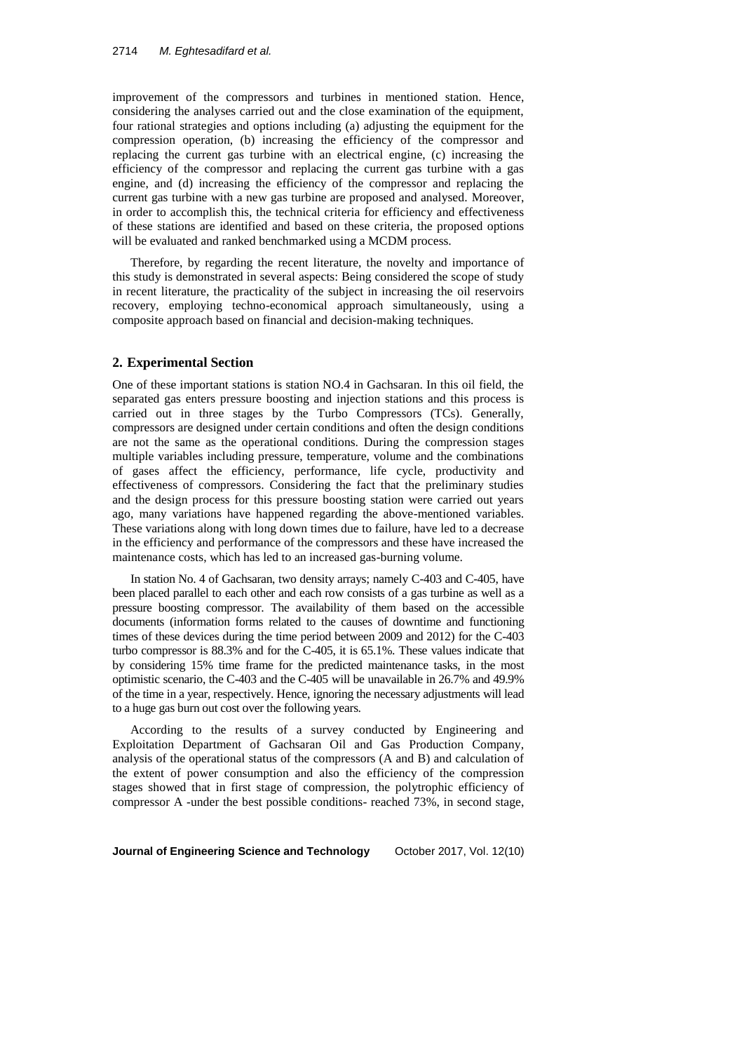improvement of the compressors and turbines in mentioned station. Hence, considering the analyses carried out and the close examination of the equipment, four rational strategies and options including (a) adjusting the equipment for the compression operation, (b) increasing the efficiency of the compressor and replacing the current gas turbine with an electrical engine, (c) increasing the efficiency of the compressor and replacing the current gas turbine with a gas engine, and (d) increasing the efficiency of the compressor and replacing the current gas turbine with a new gas turbine are proposed and analysed. Moreover, in order to accomplish this, the technical criteria for efficiency and effectiveness of these stations are identified and based on these criteria, the proposed options will be evaluated and ranked benchmarked using a MCDM process.

Therefore, by regarding the recent literature, the novelty and importance of this study is demonstrated in several aspects: Being considered the scope of study in recent literature, the practicality of the subject in increasing the oil reservoirs recovery, employing techno-economical approach simultaneously, using a composite approach based on financial and decision-making techniques.

#### **2. Experimental Section**

One of these important stations is station NO.4 in Gachsaran. In this oil field, the separated gas enters pressure boosting and injection stations and this process is carried out in three stages by the Turbo Compressors (TCs). Generally, compressors are designed under certain conditions and often the design conditions are not the same as the operational conditions. During the compression stages multiple variables including pressure, temperature, volume and the combinations of gases affect the efficiency, performance, life cycle, productivity and effectiveness of compressors. Considering the fact that the preliminary studies and the design process for this pressure boosting station were carried out years ago, many variations have happened regarding the above-mentioned variables. These variations along with long down times due to failure, have led to a decrease in the efficiency and performance of the compressors and these have increased the maintenance costs, which has led to an increased gas-burning volume.

In station No. 4 of Gachsaran, two density arrays; namely C-403 and C-405, have been placed parallel to each other and each row consists of a gas turbine as well as a pressure boosting compressor. The availability of them based on the accessible documents (information forms related to the causes of downtime and functioning times of these devices during the time period between 2009 and 2012) for the C-403 turbo compressor is 88.3% and for the C-405, it is 65.1%. These values indicate that by considering 15% time frame for the predicted maintenance tasks, in the most optimistic scenario, the C-403 and the C-405 will be unavailable in 26.7% and 49.9% of the time in a year, respectively. Hence, ignoring the necessary adjustments will lead to a huge gas burn out cost over the following years.

According to the results of a survey conducted by Engineering and Exploitation Department of Gachsaran Oil and Gas Production Company, analysis of the operational status of the compressors (A and B) and calculation of the extent of power consumption and also the efficiency of the compression stages showed that in first stage of compression, the polytrophic efficiency of compressor A -under the best possible conditions- reached 73%, in second stage,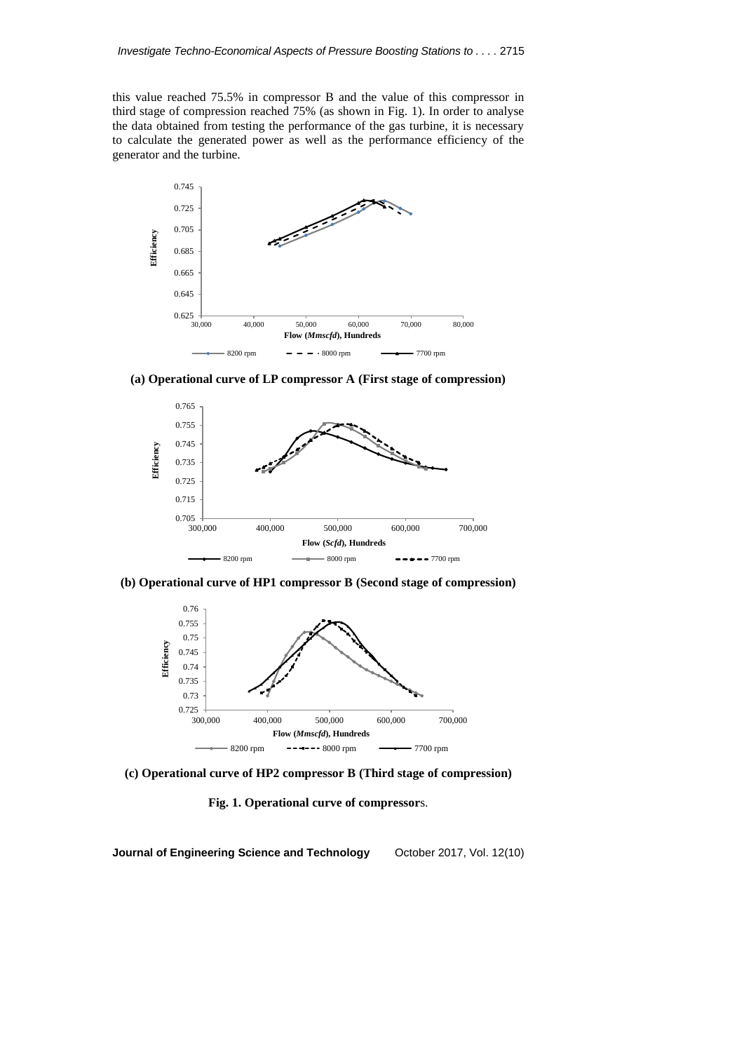this value reached 75.5% in compressor B and the value of this compressor in third stage of compression reached 75% (as shown in Fig. 1). In order to analyse the data obtained from testing the performance of the gas turbine, it is necessary to calculate the generated power as well as the performance efficiency of the generator and the turbine.



**(a) Operational curve of LP compressor A (First stage of compression)**



**(b) Operational curve of HP1 compressor B (Second stage of compression)**



**(c) Operational curve of HP2 compressor B (Third stage of compression)**

**Fig. 1. Operational curve of compressor**s.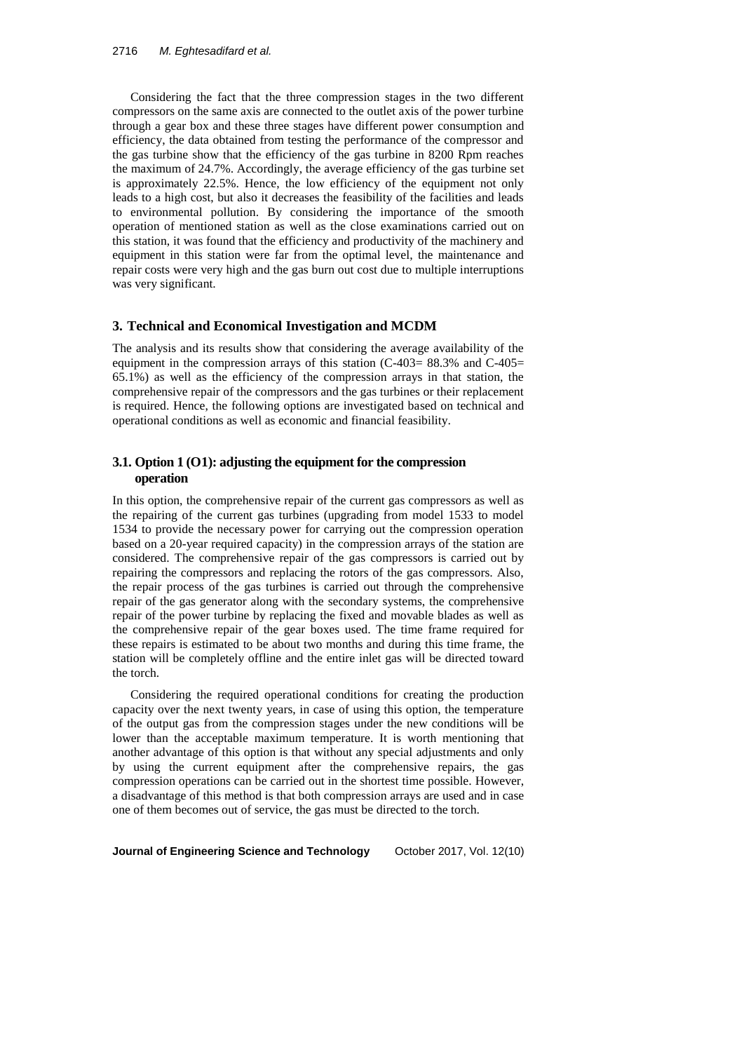Considering the fact that the three compression stages in the two different compressors on the same axis are connected to the outlet axis of the power turbine through a gear box and these three stages have different power consumption and efficiency, the data obtained from testing the performance of the compressor and the gas turbine show that the efficiency of the gas turbine in 8200 Rpm reaches the maximum of 24.7%. Accordingly, the average efficiency of the gas turbine set is approximately 22.5%. Hence, the low efficiency of the equipment not only leads to a high cost, but also it decreases the feasibility of the facilities and leads to environmental pollution. By considering the importance of the smooth operation of mentioned station as well as the close examinations carried out on this station, it was found that the efficiency and productivity of the machinery and equipment in this station were far from the optimal level, the maintenance and repair costs were very high and the gas burn out cost due to multiple interruptions was very significant.

#### **3. Technical and Economical Investigation and MCDM**

The analysis and its results show that considering the average availability of the equipment in the compression arrays of this station (C-403= 88.3% and C-405= 65.1%) as well as the efficiency of the compression arrays in that station, the comprehensive repair of the compressors and the gas turbines or their replacement is required. Hence, the following options are investigated based on technical and operational conditions as well as economic and financial feasibility.

## **3.1. Option 1 (O1): adjusting the equipment for the compression operation**

In this option, the comprehensive repair of the current gas compressors as well as the repairing of the current gas turbines (upgrading from model 1533 to model 1534 to provide the necessary power for carrying out the compression operation based on a 20-year required capacity) in the compression arrays of the station are considered. The comprehensive repair of the gas compressors is carried out by repairing the compressors and replacing the rotors of the gas compressors. Also, the repair process of the gas turbines is carried out through the comprehensive repair of the gas generator along with the secondary systems, the comprehensive repair of the power turbine by replacing the fixed and movable blades as well as the comprehensive repair of the gear boxes used. The time frame required for these repairs is estimated to be about two months and during this time frame, the station will be completely offline and the entire inlet gas will be directed toward the torch.

Considering the required operational conditions for creating the production capacity over the next twenty years, in case of using this option, the temperature of the output gas from the compression stages under the new conditions will be lower than the acceptable maximum temperature. It is worth mentioning that another advantage of this option is that without any special adjustments and only by using the current equipment after the comprehensive repairs, the gas compression operations can be carried out in the shortest time possible. However, a disadvantage of this method is that both compression arrays are used and in case one of them becomes out of service, the gas must be directed to the torch.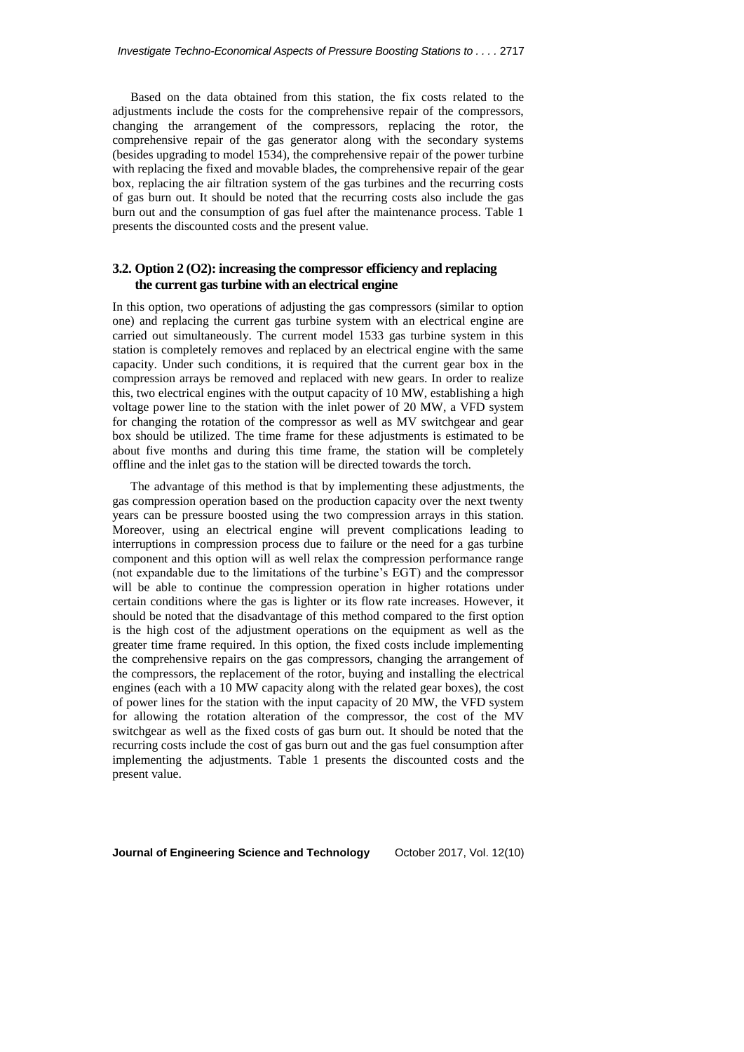Based on the data obtained from this station, the fix costs related to the adjustments include the costs for the comprehensive repair of the compressors, changing the arrangement of the compressors, replacing the rotor, the comprehensive repair of the gas generator along with the secondary systems (besides upgrading to model 1534), the comprehensive repair of the power turbine with replacing the fixed and movable blades, the comprehensive repair of the gear box, replacing the air filtration system of the gas turbines and the recurring costs of gas burn out. It should be noted that the recurring costs also include the gas burn out and the consumption of gas fuel after the maintenance process. Table 1 presents the discounted costs and the present value.

## **3.2. Option 2 (O2): increasing the compressor efficiency and replacing the current gas turbine with an electrical engine**

In this option, two operations of adjusting the gas compressors (similar to option one) and replacing the current gas turbine system with an electrical engine are carried out simultaneously. The current model 1533 gas turbine system in this station is completely removes and replaced by an electrical engine with the same capacity. Under such conditions, it is required that the current gear box in the compression arrays be removed and replaced with new gears. In order to realize this, two electrical engines with the output capacity of 10 MW, establishing a high voltage power line to the station with the inlet power of 20 MW, a VFD system for changing the rotation of the compressor as well as MV switchgear and gear box should be utilized. The time frame for these adjustments is estimated to be about five months and during this time frame, the station will be completely offline and the inlet gas to the station will be directed towards the torch.

The advantage of this method is that by implementing these adjustments, the gas compression operation based on the production capacity over the next twenty years can be pressure boosted using the two compression arrays in this station. Moreover, using an electrical engine will prevent complications leading to interruptions in compression process due to failure or the need for a gas turbine component and this option will as well relax the compression performance range (not expandable due to the limitations of the turbine's EGT) and the compressor will be able to continue the compression operation in higher rotations under certain conditions where the gas is lighter or its flow rate increases. However, it should be noted that the disadvantage of this method compared to the first option is the high cost of the adjustment operations on the equipment as well as the greater time frame required. In this option, the fixed costs include implementing the comprehensive repairs on the gas compressors, changing the arrangement of the compressors, the replacement of the rotor, buying and installing the electrical engines (each with a 10 MW capacity along with the related gear boxes), the cost of power lines for the station with the input capacity of 20 MW, the VFD system for allowing the rotation alteration of the compressor, the cost of the MV switchgear as well as the fixed costs of gas burn out. It should be noted that the recurring costs include the cost of gas burn out and the gas fuel consumption after implementing the adjustments. Table 1 presents the discounted costs and the present value.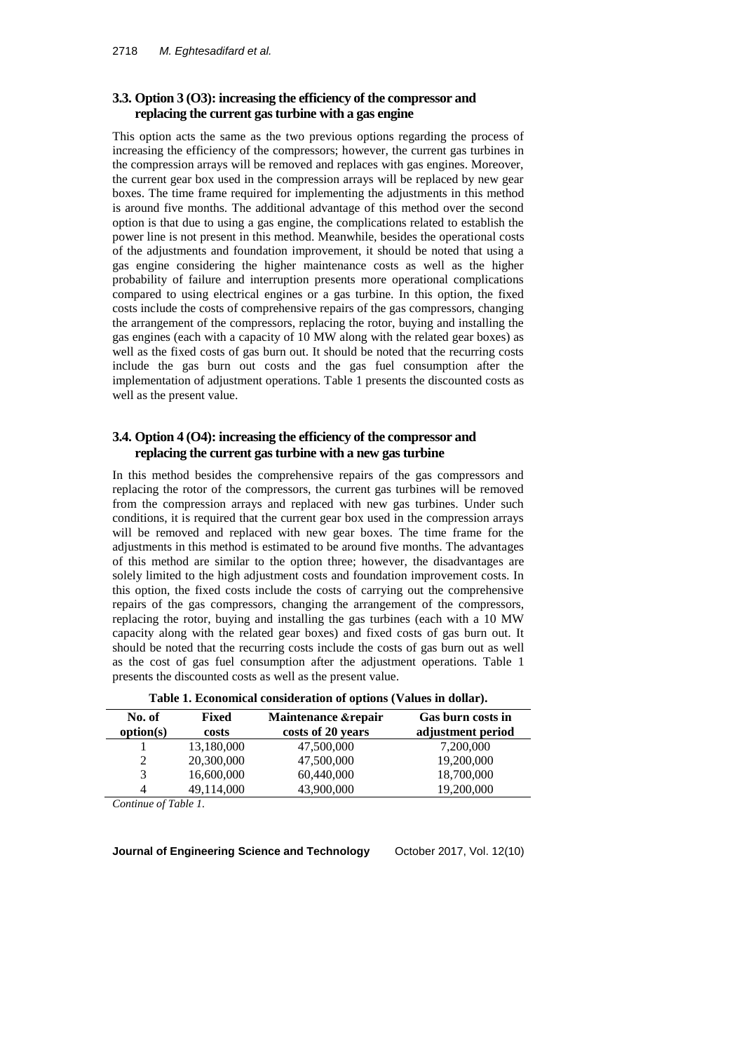### **3.3. Option 3 (O3): increasing the efficiency of the compressor and replacing the current gas turbine with a gas engine**

This option acts the same as the two previous options regarding the process of increasing the efficiency of the compressors; however, the current gas turbines in the compression arrays will be removed and replaces with gas engines. Moreover, the current gear box used in the compression arrays will be replaced by new gear boxes. The time frame required for implementing the adjustments in this method is around five months. The additional advantage of this method over the second option is that due to using a gas engine, the complications related to establish the power line is not present in this method. Meanwhile, besides the operational costs of the adjustments and foundation improvement, it should be noted that using a gas engine considering the higher maintenance costs as well as the higher probability of failure and interruption presents more operational complications compared to using electrical engines or a gas turbine. In this option, the fixed costs include the costs of comprehensive repairs of the gas compressors, changing the arrangement of the compressors, replacing the rotor, buying and installing the gas engines (each with a capacity of 10 MW along with the related gear boxes) as well as the fixed costs of gas burn out. It should be noted that the recurring costs include the gas burn out costs and the gas fuel consumption after the implementation of adjustment operations. Table 1 presents the discounted costs as well as the present value.

## **3.4. Option 4 (O4): increasing the efficiency of the compressor and replacing the current gas turbine with a new gas turbine**

In this method besides the comprehensive repairs of the gas compressors and replacing the rotor of the compressors, the current gas turbines will be removed from the compression arrays and replaced with new gas turbines. Under such conditions, it is required that the current gear box used in the compression arrays will be removed and replaced with new gear boxes. The time frame for the adjustments in this method is estimated to be around five months. The advantages of this method are similar to the option three; however, the disadvantages are solely limited to the high adjustment costs and foundation improvement costs. In this option, the fixed costs include the costs of carrying out the comprehensive repairs of the gas compressors, changing the arrangement of the compressors, replacing the rotor, buying and installing the gas turbines (each with a 10 MW capacity along with the related gear boxes) and fixed costs of gas burn out. It should be noted that the recurring costs include the costs of gas burn out as well as the cost of gas fuel consumption after the adjustment operations. Table 1 presents the discounted costs as well as the present value.

| No. of<br>option(s) | <b>Fixed</b><br>costs | Maintenance & repair<br>costs of 20 years | Gas burn costs in<br>adjustment period |
|---------------------|-----------------------|-------------------------------------------|----------------------------------------|
|                     | 13,180,000            | 47,500,000                                | 7,200,000                              |
| 2                   | 20,300,000            | 47,500,000                                | 19,200,000                             |
| 3                   | 16,600,000            | 60,440,000                                | 18,700,000                             |
| 4                   | 49,114,000            | 43,900,000                                | 19,200,000                             |

| Table 1. Economical consideration of options (Values in dollar). |  |  |
|------------------------------------------------------------------|--|--|
|                                                                  |  |  |

*Continue of Table 1.*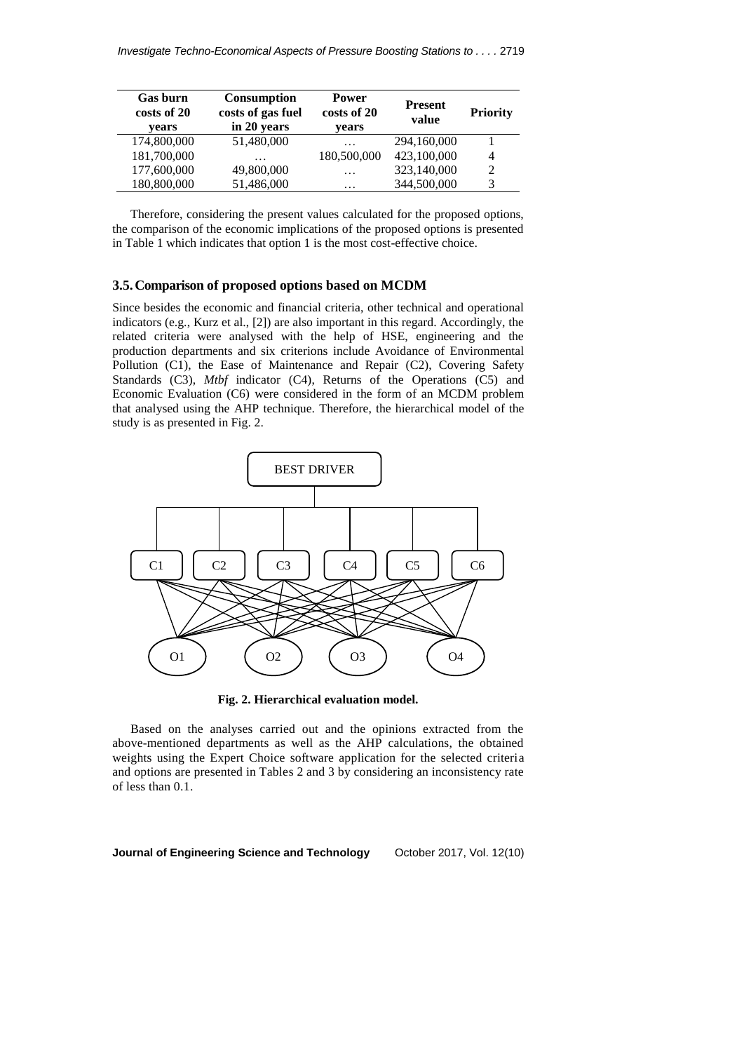| <b>Gas burn</b><br>costs of 20<br>vears | <b>Consumption</b><br>costs of gas fuel<br>in 20 years | <b>Power</b><br>costs of 20<br>years | <b>Present</b><br>value | <b>Priority</b> |
|-----------------------------------------|--------------------------------------------------------|--------------------------------------|-------------------------|-----------------|
| 174,800,000                             | 51,480,000                                             | .                                    | 294,160,000             |                 |
| 181,700,000                             | .                                                      | 180,500,000                          | 423,100,000             | 4               |
| 177,600,000                             | 49,800,000                                             | .                                    | 323,140,000             |                 |
| 180,800,000                             | 51,486,000                                             | $\cdot$                              | 344,500,000             |                 |

Therefore, considering the present values calculated for the proposed options, the comparison of the economic implications of the proposed options is presented in Table 1 which indicates that option 1 is the most cost-effective choice.

#### **3.5.Comparison of proposed options based on MCDM**

Since besides the economic and financial criteria, other technical and operational indicators (e.g., Kurz et al., [2]) are also important in this regard. Accordingly, the related criteria were analysed with the help of HSE, engineering and the production departments and six criterions include Avoidance of Environmental Pollution (C1), the Ease of Maintenance and Repair (C2), Covering Safety Standards (C3), *Mtbf* indicator (C4), Returns of the Operations (C5) and Economic Evaluation (C6) were considered in the form of an MCDM problem that analysed using the AHP technique. Therefore, the hierarchical model of the study is as presented in Fig. 2.



**Fig. 2. Hierarchical evaluation model.**

Based on the analyses carried out and the opinions extracted from the above-mentioned departments as well as the AHP calculations, the obtained weights using the Expert Choice software application for the selected criteria and options are presented in Tables 2 and 3 by considering an inconsistency rate of less than 0.1.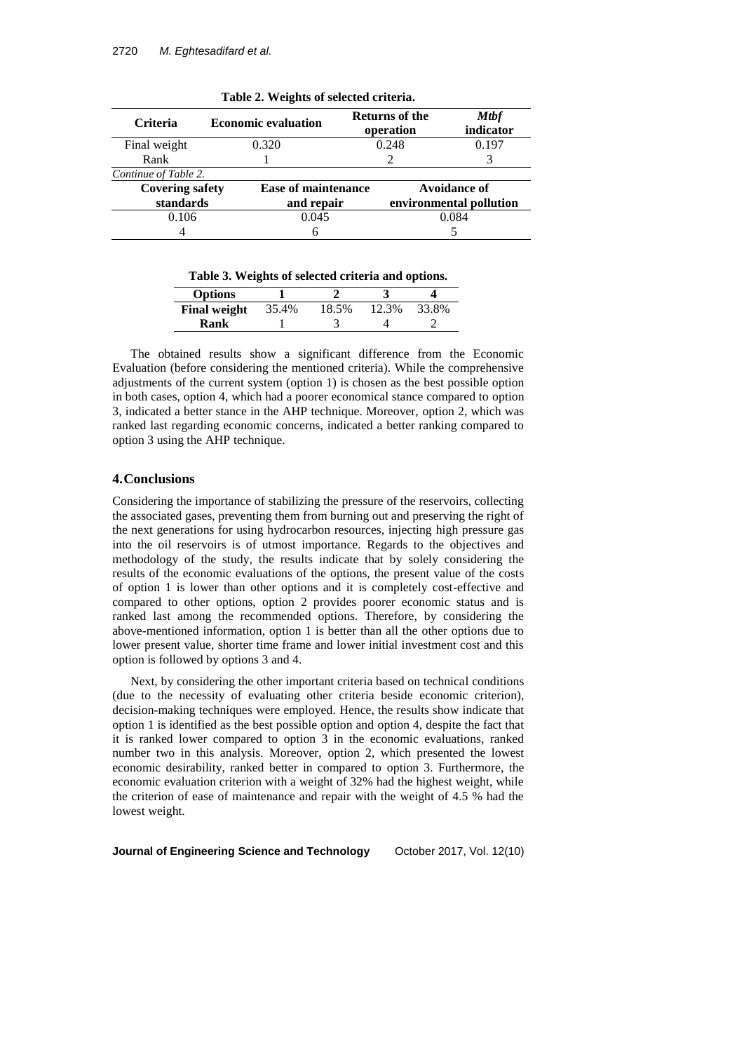| <b>Criteria</b>        | <b>Economic evaluation</b> | <b>Returns of the</b><br>operation | <b>Mtbf</b><br>indicator |  |  |
|------------------------|----------------------------|------------------------------------|--------------------------|--|--|
| Final weight           | 0.320                      | 0.248                              | 0.197                    |  |  |
| Rank                   |                            |                                    |                          |  |  |
| Continue of Table 2.   |                            |                                    |                          |  |  |
| <b>Covering safety</b> | <b>Ease of maintenance</b> |                                    | Avoidance of             |  |  |
| standards              | and repair                 |                                    | environmental pollution  |  |  |
| 0.106                  | 0.045                      |                                    | 0.084                    |  |  |
|                        | ი                          |                                    |                          |  |  |

**Table 2. Weights of selected criteria.**

**Table 3. Weights of selected criteria and options.**

| <b>Options</b>      |       |       |       |       |
|---------------------|-------|-------|-------|-------|
| <b>Final weight</b> | 35.4% | 18.5% | 12.3% | 33.8% |
| Rank                |       |       |       |       |

The obtained results show a significant difference from the Economic Evaluation (before considering the mentioned criteria). While the comprehensive adjustments of the current system (option 1) is chosen as the best possible option in both cases, option 4, which had a poorer economical stance compared to option 3, indicated a better stance in the AHP technique. Moreover, option 2, which was ranked last regarding economic concerns, indicated a better ranking compared to option 3 using the AHP technique.

#### **4.Conclusions**

Considering the importance of stabilizing the pressure of the reservoirs, collecting the associated gases, preventing them from burning out and preserving the right of the next generations for using hydrocarbon resources, injecting high pressure gas into the oil reservoirs is of utmost importance. Regards to the objectives and methodology of the study, the results indicate that by solely considering the results of the economic evaluations of the options, the present value of the costs of option 1 is lower than other options and it is completely cost-effective and compared to other options, option 2 provides poorer economic status and is ranked last among the recommended options. Therefore, by considering the above-mentioned information, option 1 is better than all the other options due to lower present value, shorter time frame and lower initial investment cost and this option is followed by options 3 and 4.

Next, by considering the other important criteria based on technical conditions (due to the necessity of evaluating other criteria beside economic criterion), decision-making techniques were employed. Hence, the results show indicate that option 1 is identified as the best possible option and option 4, despite the fact that it is ranked lower compared to option 3 in the economic evaluations, ranked number two in this analysis. Moreover, option 2, which presented the lowest economic desirability, ranked better in compared to option 3. Furthermore, the economic evaluation criterion with a weight of 32% had the highest weight, while the criterion of ease of maintenance and repair with the weight of 4.5 % had the lowest weight.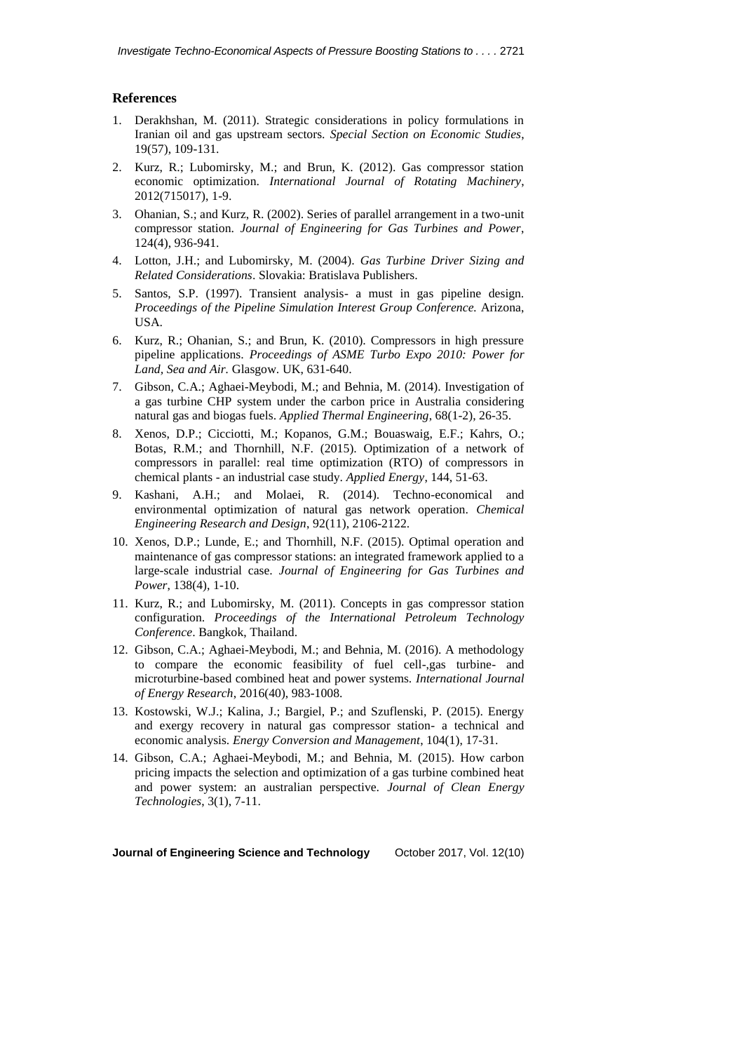### **References**

- 1. Derakhshan, M. (2011). Strategic considerations in policy formulations in Iranian oil and gas upstream sectors. *Special Section on Economic Studies*, 19(57), 109-131.
- 2. Kurz, R.; Lubomirsky, M.; and Brun, K. (2012). Gas compressor station economic optimization. *International Journal of Rotating Machinery*, 2012(715017), 1-9.
- 3. Ohanian, [S.;](http://proceedings.asmedigitalcollection.asme.org/solr/searchresults.aspx?author=Sebouh+Ohanian&q=Sebouh+Ohanian) and Kurz, R. (2002). Series of parallel arrangement in a two-unit compressor station. *Journal of Engineering for Gas Turbines and Power*, 124(4), 936-941.
- 4. Lotton, J.H.; and Lubomirsky, M. (2004). *Gas Turbine Driver Sizing and Related Considerations*. Slovakia: Bratislava Publishers.
- 5. Santos, S.P. (1997). Transient analysis- a must in gas pipeline design. *Proceedings of the Pipeline Simulation Interest Group Conference.* Arizona, USA.
- 6. Kurz, R.; Ohanian, [S.](http://proceedings.asmedigitalcollection.asme.org/solr/searchresults.aspx?author=Sebouh+Ohanian&q=Sebouh+Ohanian); and Brun, [K.](http://proceedings.asmedigitalcollection.asme.org/solr/searchresults.aspx?author=Klaus+Brun&q=Klaus+Brun) (2010). Compressors in high pressure pipeline applications. *Proceedings of ASME Turbo Expo 2010: Power for Land, Sea and Air.* Glasgow. UK, 631-640.
- 7. [Gibson, C.A.; Aghaei-Meybodi,](http://www.sciencedirect.com/science/article/pii/S1359431114002555) M.; and [Behnia,](http://www.sciencedirect.com/science/article/pii/S1359431114002555) M. (2014). Investigation of a gas turbine CHP system under the carbon price in Australia considering natural gas and biogas fuels. *[Applied Thermal Engineering](http://www.sciencedirect.com/science/journal/13594311)*, [68\(1-2\)](http://www.sciencedirect.com/science/journal/13594311/68/1), 26-35.
- 8. [Xenos, D.P](http://www.sciencedirect.com/science/article/pii/S0306261915000161).; [Cicciotti, M.; Kopanos, G.M](http://www.sciencedirect.com/science/article/pii/S0306261915000161).; [Bouaswaig, E.F.](http://www.sciencedirect.com/science/article/pii/S0306261915000161); [Kahrs, O.;](http://www.sciencedirect.com/science/article/pii/S0306261915000161) [Botas, R.M.](http://www.sciencedirect.com/science/article/pii/S0306261915000161); and [Thornhill, N.F.](http://www.sciencedirect.com/science/article/pii/S0306261915000161) (2015). Optimization of a network of compressors in parallel: real time optimization (RTO) of compressors in chemical plants - an industrial case study. *[Applied Energy](http://www.sciencedirect.com/science/journal/03062619)*[, 144,](http://www.sciencedirect.com/science/journal/03062619/144/supp/C) 51-63.
- 9. Kashani, [A.H.; a](javascript:void(0);)nd Molaei, R. (2014). Techno-economical and environmental optimization of natural gas network operation. *[Chemical](http://www.sciencedirect.com/science/journal/02638762)  [Engineering Research and Design](http://www.sciencedirect.com/science/journal/02638762)*, [92\(11\),](http://www.sciencedirect.com/science/journal/02638762/92/11) 2106-2122.
- 10. [Xenos, D.P](http://www.sciencedirect.com/science/article/pii/S0306261915000161).; [Lunde, E.;](http://www.sciencedirect.com/science/article/pii/S0306261915000161) and [Thornhill, N.F.](http://www.sciencedirect.com/science/article/pii/S0306261915000161) (2015). Optimal operation and maintenance of gas compressor stations: an integrated framework applied to a large-scale industrial case. *Journal of Engineering for Gas Turbines and Power*, 138(4), 1-10.
- 11. Kurz, [R.](https://www.onepetro.org/search?q=dc_creator%3A%28%22Kurz%2C+Rainer%22%29); and Lubomirsky, [M. \(](https://www.onepetro.org/search?q=dc_creator%3A%28%22Lubomirsky%2C+Matt%22%29)2011). Concepts in gas compressor station configuration. *Proceedings of the International Petroleum Technology Conference*. Bangkok, Thailand.
- 12. [Gibson, C.A.;](http://www.sciencedirect.com/science/article/pii/S1359431114002555) [Aghaei-Meybodi,](http://www.sciencedirect.com/science/article/pii/S1359431114002555) M.; and [Behnia,](http://www.sciencedirect.com/science/article/pii/S1359431114002555) M. (2016). A methodology to compare the economic feasibility of fuel cell-,gas turbine- and microturbine-based combined heat and power systems. *International Journal of Energy Research*, 2016(40), 983-1008.
- 13. Kostowski, W.J.; Kalina, J.; Bargiel, P.; and Szuflenski, P. (2015). Energy and exergy recovery in natural gas compressor station- a technical and economic analysis. *Energy Conversion and Management*, 104(1), 17-31.
- 14. [Gibson, C.A.;](http://www.sciencedirect.com/science/article/pii/S1359431114002555) [Aghaei-Meybodi,](http://www.sciencedirect.com/science/article/pii/S1359431114002555) M.; and [Behnia,](http://www.sciencedirect.com/science/article/pii/S1359431114002555) M. (2015). How carbon pricing impacts the selection and optimization of a gas turbine combined heat and power system: an australian perspective. *Journal of Clean Energy Technologies*, 3(1), 7-11.